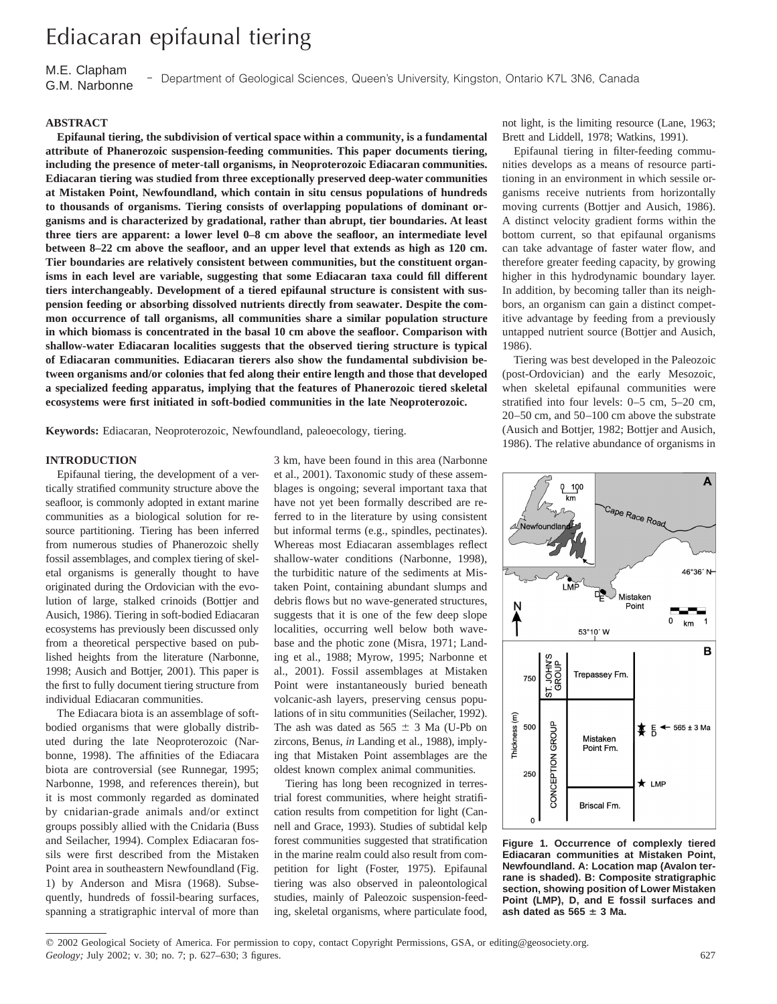# Ediacaran epifaunal tiering

M.E. Clapham G.M. Narbonne I I Department of Geological Sciences, Queen's University, Kingston, Ontario K7L 3N6, Canada

# **ABSTRACT**

**Epifaunal tiering, the subdivision of vertical space within a community, is a fundamental attribute of Phanerozoic suspension-feeding communities. This paper documents tiering, including the presence of meter-tall organisms, in Neoproterozoic Ediacaran communities. Ediacaran tiering was studied from three exceptionally preserved deep-water communities at Mistaken Point, Newfoundland, which contain in situ census populations of hundreds to thousands of organisms. Tiering consists of overlapping populations of dominant organisms and is characterized by gradational, rather than abrupt, tier boundaries. At least three tiers are apparent: a lower level 0–8 cm above the seafloor, an intermediate level between 8–22 cm above the seafloor, and an upper level that extends as high as 120 cm. Tier boundaries are relatively consistent between communities, but the constituent organisms in each level are variable, suggesting that some Ediacaran taxa could fill different tiers interchangeably. Development of a tiered epifaunal structure is consistent with suspension feeding or absorbing dissolved nutrients directly from seawater. Despite the common occurrence of tall organisms, all communities share a similar population structure in which biomass is concentrated in the basal 10 cm above the seafloor. Comparison with shallow-water Ediacaran localities suggests that the observed tiering structure is typical of Ediacaran communities. Ediacaran tierers also show the fundamental subdivision between organisms and/or colonies that fed along their entire length and those that developed a specialized feeding apparatus, implying that the features of Phanerozoic tiered skeletal ecosystems were first initiated in soft-bodied communities in the late Neoproterozoic.**

**Keywords:** Ediacaran, Neoproterozoic, Newfoundland, paleoecology, tiering.

## **INTRODUCTION**

Epifaunal tiering, the development of a vertically stratified community structure above the seafloor, is commonly adopted in extant marine communities as a biological solution for resource partitioning. Tiering has been inferred from numerous studies of Phanerozoic shelly fossil assemblages, and complex tiering of skeletal organisms is generally thought to have originated during the Ordovician with the evolution of large, stalked crinoids (Bottjer and Ausich, 1986). Tiering in soft-bodied Ediacaran ecosystems has previously been discussed only from a theoretical perspective based on published heights from the literature (Narbonne, 1998; Ausich and Bottjer, 2001). This paper is the first to fully document tiering structure from individual Ediacaran communities.

The Ediacara biota is an assemblage of softbodied organisms that were globally distributed during the late Neoproterozoic (Narbonne, 1998). The affinities of the Ediacara biota are controversial (see Runnegar, 1995; Narbonne, 1998, and references therein), but it is most commonly regarded as dominated by cnidarian-grade animals and/or extinct groups possibly allied with the Cnidaria (Buss and Seilacher, 1994). Complex Ediacaran fossils were first described from the Mistaken Point area in southeastern Newfoundland (Fig. 1) by Anderson and Misra (1968). Subsequently, hundreds of fossil-bearing surfaces, spanning a stratigraphic interval of more than

3 km, have been found in this area (Narbonne et al., 2001). Taxonomic study of these assemblages is ongoing; several important taxa that have not yet been formally described are referred to in the literature by using consistent but informal terms (e.g., spindles, pectinates). Whereas most Ediacaran assemblages reflect shallow-water conditions (Narbonne, 1998), the turbiditic nature of the sediments at Mistaken Point, containing abundant slumps and debris flows but no wave-generated structures, suggests that it is one of the few deep slope localities, occurring well below both wavebase and the photic zone (Misra, 1971; Landing et al., 1988; Myrow, 1995; Narbonne et al., 2001). Fossil assemblages at Mistaken Point were instantaneously buried beneath volcanic-ash layers, preserving census populations of in situ communities (Seilacher, 1992). The ash was dated as  $565 \pm 3$  Ma (U-Pb on zircons, Benus, *in* Landing et al., 1988), implying that Mistaken Point assemblages are the oldest known complex animal communities.

Tiering has long been recognized in terrestrial forest communities, where height stratification results from competition for light (Cannell and Grace, 1993). Studies of subtidal kelp forest communities suggested that stratification in the marine realm could also result from competition for light (Foster, 1975). Epifaunal tiering was also observed in paleontological studies, mainly of Paleozoic suspension-feeding, skeletal organisms, where particulate food,

not light, is the limiting resource (Lane, 1963; Brett and Liddell, 1978; Watkins, 1991).

Epifaunal tiering in filter-feeding communities develops as a means of resource partitioning in an environment in which sessile organisms receive nutrients from horizontally moving currents (Bottjer and Ausich, 1986). A distinct velocity gradient forms within the bottom current, so that epifaunal organisms can take advantage of faster water flow, and therefore greater feeding capacity, by growing higher in this hydrodynamic boundary layer. In addition, by becoming taller than its neighbors, an organism can gain a distinct competitive advantage by feeding from a previously untapped nutrient source (Bottjer and Ausich, 1986).

Tiering was best developed in the Paleozoic (post-Ordovician) and the early Mesozoic, when skeletal epifaunal communities were stratified into four levels: 0–5 cm, 5–20 cm, 20–50 cm, and 50–100 cm above the substrate (Ausich and Bottjer, 1982; Bottjer and Ausich, 1986). The relative abundance of organisms in



**Figure 1. Occurrence of complexly tiered Ediacaran communities at Mistaken Point, Newfoundland. A: Location map (Avalon terrane is shaded). B: Composite stratigraphic section, showing position of Lower Mistaken Point (LMP), D, and E fossil surfaces and** ash dated as  $565 \pm 3$  Ma.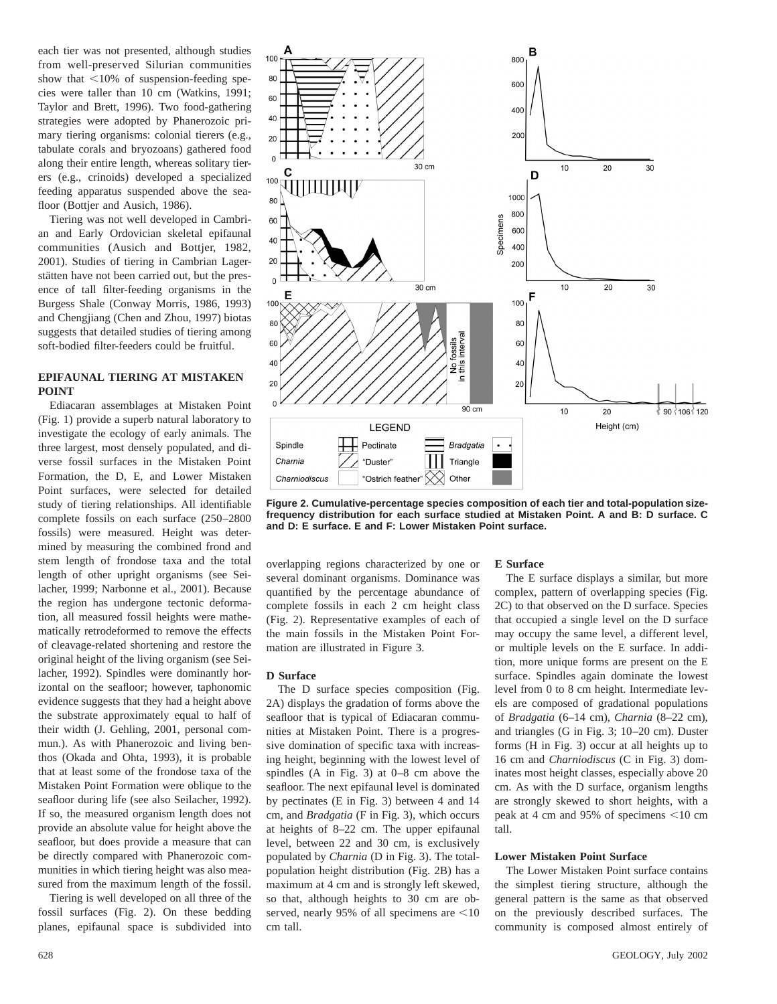each tier was not presented, although studies from well-preserved Silurian communities show that  $\leq 10\%$  of suspension-feeding species were taller than 10 cm (Watkins, 1991; Taylor and Brett, 1996). Two food-gathering strategies were adopted by Phanerozoic primary tiering organisms: colonial tierers (e.g., tabulate corals and bryozoans) gathered food along their entire length, whereas solitary tierers (e.g., crinoids) developed a specialized feeding apparatus suspended above the seafloor (Bottjer and Ausich, 1986).

Tiering was not well developed in Cambrian and Early Ordovician skeletal epifaunal communities (Ausich and Bottjer, 1982, 2001). Studies of tiering in Cambrian Lagerstätten have not been carried out, but the presence of tall filter-feeding organisms in the Burgess Shale (Conway Morris, 1986, 1993) and Chengjiang (Chen and Zhou, 1997) biotas suggests that detailed studies of tiering among soft-bodied filter-feeders could be fruitful.

## **EPIFAUNAL TIERING AT MISTAKEN POINT**

Ediacaran assemblages at Mistaken Point (Fig. 1) provide a superb natural laboratory to investigate the ecology of early animals. The three largest, most densely populated, and diverse fossil surfaces in the Mistaken Point Formation, the D, E, and Lower Mistaken Point surfaces, were selected for detailed study of tiering relationships. All identifiable complete fossils on each surface (250–2800 fossils) were measured. Height was determined by measuring the combined frond and stem length of frondose taxa and the total length of other upright organisms (see Seilacher, 1999; Narbonne et al., 2001). Because the region has undergone tectonic deformation, all measured fossil heights were mathematically retrodeformed to remove the effects of cleavage-related shortening and restore the original height of the living organism (see Seilacher, 1992). Spindles were dominantly horizontal on the seafloor; however, taphonomic evidence suggests that they had a height above the substrate approximately equal to half of their width (J. Gehling, 2001, personal commun.). As with Phanerozoic and living benthos (Okada and Ohta, 1993), it is probable that at least some of the frondose taxa of the Mistaken Point Formation were oblique to the seafloor during life (see also Seilacher, 1992). If so, the measured organism length does not provide an absolute value for height above the seafloor, but does provide a measure that can be directly compared with Phanerozoic communities in which tiering height was also measured from the maximum length of the fossil.

Tiering is well developed on all three of the fossil surfaces (Fig. 2). On these bedding planes, epifaunal space is subdivided into



**Figure 2. Cumulative-percentage species composition of each tier and total-population sizefrequency distribution for each surface studied at Mistaken Point. A and B: D surface. C and D: E surface. E and F: Lower Mistaken Point surface.**

overlapping regions characterized by one or several dominant organisms. Dominance was quantified by the percentage abundance of complete fossils in each 2 cm height class (Fig. 2). Representative examples of each of the main fossils in the Mistaken Point Formation are illustrated in Figure 3.

## **D Surface**

The D surface species composition (Fig. 2A) displays the gradation of forms above the seafloor that is typical of Ediacaran communities at Mistaken Point. There is a progressive domination of specific taxa with increasing height, beginning with the lowest level of spindles (A in Fig. 3) at 0–8 cm above the seafloor. The next epifaunal level is dominated by pectinates (E in Fig. 3) between 4 and 14 cm, and *Bradgatia* (F in Fig. 3), which occurs at heights of 8–22 cm. The upper epifaunal level, between 22 and 30 cm, is exclusively populated by *Charnia* (D in Fig. 3). The totalpopulation height distribution (Fig. 2B) has a maximum at 4 cm and is strongly left skewed, so that, although heights to 30 cm are observed, nearly 95% of all specimens are  $\leq 10$ cm tall.

#### **E Surface**

The E surface displays a similar, but more complex, pattern of overlapping species (Fig. 2C) to that observed on the D surface. Species that occupied a single level on the D surface may occupy the same level, a different level, or multiple levels on the E surface. In addition, more unique forms are present on the E surface. Spindles again dominate the lowest level from 0 to 8 cm height. Intermediate levels are composed of gradational populations of *Bradgatia* (6–14 cm), *Charnia* (8–22 cm), and triangles (G in Fig. 3; 10–20 cm). Duster forms (H in Fig. 3) occur at all heights up to 16 cm and *Charniodiscus* (C in Fig. 3) dominates most height classes, especially above 20 cm. As with the D surface, organism lengths are strongly skewed to short heights, with a peak at 4 cm and 95% of specimens  $\leq 10$  cm tall.

## **Lower Mistaken Point Surface**

The Lower Mistaken Point surface contains the simplest tiering structure, although the general pattern is the same as that observed on the previously described surfaces. The community is composed almost entirely of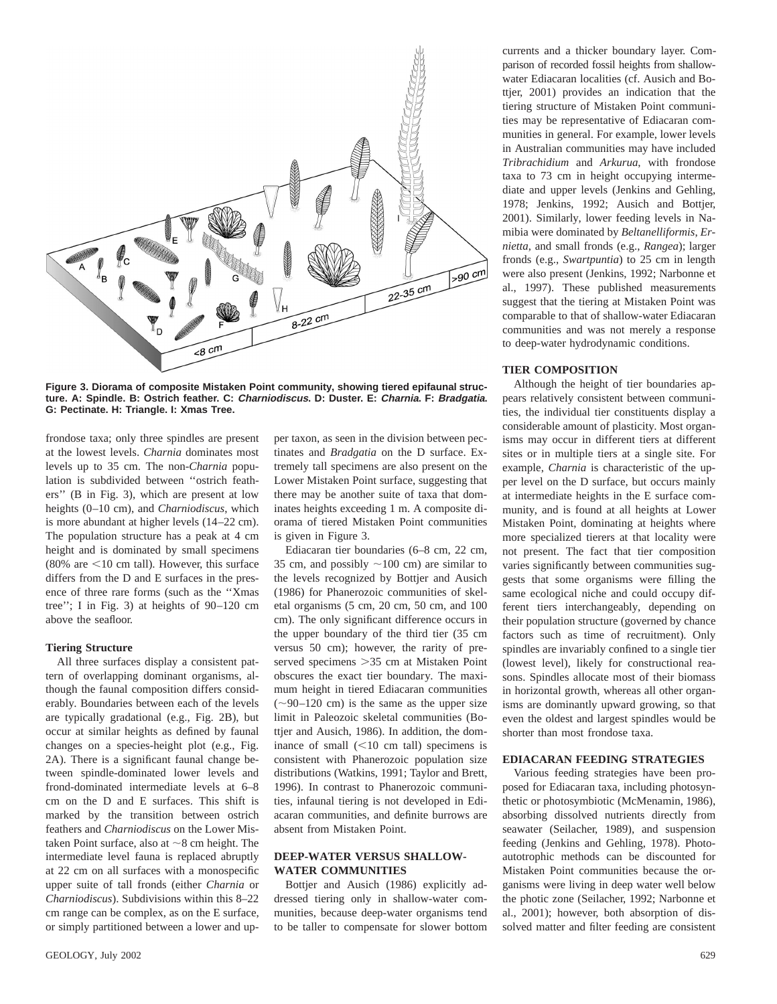

**Figure 3. Diorama of composite Mistaken Point community, showing tiered epifaunal structure. A: Spindle. B: Ostrich feather. C: Charniodiscus. D: Duster. E: Charnia. F: Bradgatia. G: Pectinate. H: Triangle. I: Xmas Tree.**

frondose taxa; only three spindles are present at the lowest levels. *Charnia* dominates most levels up to 35 cm. The non-*Charnia* population is subdivided between ''ostrich feathers'' (B in Fig. 3), which are present at low heights (0–10 cm), and *Charniodiscus*, which is more abundant at higher levels (14–22 cm). The population structure has a peak at 4 cm height and is dominated by small specimens (80% are  $\leq$ 10 cm tall). However, this surface differs from the D and E surfaces in the presence of three rare forms (such as the ''Xmas tree''; I in Fig. 3) at heights of 90–120 cm above the seafloor.

#### **Tiering Structure**

All three surfaces display a consistent pattern of overlapping dominant organisms, although the faunal composition differs considerably. Boundaries between each of the levels are typically gradational (e.g., Fig. 2B), but occur at similar heights as defined by faunal changes on a species-height plot (e.g., Fig. 2A). There is a significant faunal change between spindle-dominated lower levels and frond-dominated intermediate levels at 6–8 cm on the D and E surfaces. This shift is marked by the transition between ostrich feathers and *Charniodiscus* on the Lower Mistaken Point surface, also at  $\sim$ 8 cm height. The intermediate level fauna is replaced abruptly at 22 cm on all surfaces with a monospecific upper suite of tall fronds (either *Charnia* or *Charniodiscus*). Subdivisions within this 8–22 cm range can be complex, as on the E surface, or simply partitioned between a lower and upper taxon, as seen in the division between pectinates and *Bradgatia* on the D surface. Extremely tall specimens are also present on the Lower Mistaken Point surface, suggesting that there may be another suite of taxa that dominates heights exceeding 1 m. A composite diorama of tiered Mistaken Point communities is given in Figure 3.

Ediacaran tier boundaries (6–8 cm, 22 cm, 35 cm, and possibly  $\sim$ 100 cm) are similar to the levels recognized by Bottjer and Ausich (1986) for Phanerozoic communities of skeletal organisms (5 cm, 20 cm, 50 cm, and 100 cm). The only significant difference occurs in the upper boundary of the third tier (35 cm versus 50 cm); however, the rarity of preserved specimens > 35 cm at Mistaken Point obscures the exact tier boundary. The maximum height in tiered Ediacaran communities  $(-90-120$  cm) is the same as the upper size limit in Paleozoic skeletal communities (Bottjer and Ausich, 1986). In addition, the dominance of small  $(<10$  cm tall) specimens is consistent with Phanerozoic population size distributions (Watkins, 1991; Taylor and Brett, 1996). In contrast to Phanerozoic communities, infaunal tiering is not developed in Ediacaran communities, and definite burrows are absent from Mistaken Point.

# **DEEP-WATER VERSUS SHALLOW-WATER COMMUNITIES**

Bottjer and Ausich (1986) explicitly addressed tiering only in shallow-water communities, because deep-water organisms tend to be taller to compensate for slower bottom currents and a thicker boundary layer. Comparison of recorded fossil heights from shallowwater Ediacaran localities (cf. Ausich and Bottjer, 2001) provides an indication that the tiering structure of Mistaken Point communities may be representative of Ediacaran communities in general. For example, lower levels in Australian communities may have included *Tribrachidium* and *Arkurua*, with frondose taxa to 73 cm in height occupying intermediate and upper levels (Jenkins and Gehling, 1978; Jenkins, 1992; Ausich and Bottjer, 2001). Similarly, lower feeding levels in Namibia were dominated by *Beltanelliformis*, *Ernietta*, and small fronds (e.g., *Rangea*); larger fronds (e.g., *Swartpuntia*) to 25 cm in length were also present (Jenkins, 1992; Narbonne et al., 1997). These published measurements suggest that the tiering at Mistaken Point was comparable to that of shallow-water Ediacaran communities and was not merely a response to deep-water hydrodynamic conditions.

## **TIER COMPOSITION**

Although the height of tier boundaries appears relatively consistent between communities, the individual tier constituents display a considerable amount of plasticity. Most organisms may occur in different tiers at different sites or in multiple tiers at a single site. For example, *Charnia* is characteristic of the upper level on the D surface, but occurs mainly at intermediate heights in the E surface community, and is found at all heights at Lower Mistaken Point, dominating at heights where more specialized tierers at that locality were not present. The fact that tier composition varies significantly between communities suggests that some organisms were filling the same ecological niche and could occupy different tiers interchangeably, depending on their population structure (governed by chance factors such as time of recruitment). Only spindles are invariably confined to a single tier (lowest level), likely for constructional reasons. Spindles allocate most of their biomass in horizontal growth, whereas all other organisms are dominantly upward growing, so that even the oldest and largest spindles would be shorter than most frondose taxa.

## **EDIACARAN FEEDING STRATEGIES**

Various feeding strategies have been proposed for Ediacaran taxa, including photosynthetic or photosymbiotic (McMenamin, 1986), absorbing dissolved nutrients directly from seawater (Seilacher, 1989), and suspension feeding (Jenkins and Gehling, 1978). Photoautotrophic methods can be discounted for Mistaken Point communities because the organisms were living in deep water well below the photic zone (Seilacher, 1992; Narbonne et al., 2001); however, both absorption of dissolved matter and filter feeding are consistent